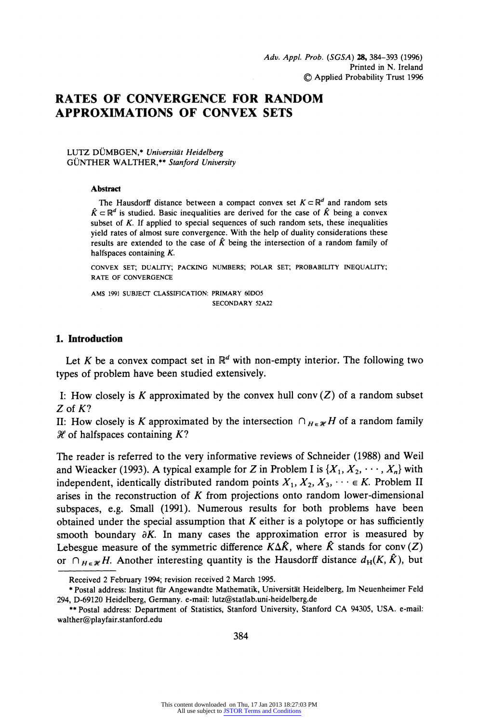# **RATES OF CONVERGENCE FOR RANDOM APPROXIMATIONS OF CONVEX SETS**

**. . LUTZ DUMBGEN,\* Universitat Heidelberg GUNTHER WALTHER,\*\* Stanford University** 

#### **Abstract**

The Hausdorff distance between a compact convex set  $K \subset \mathbb{R}^d$  and random sets  $\hat{K} \subset \mathbb{R}^d$  is studied. Basic inequalities are derived for the case of  $\hat{K}$  being a convex **subset of K. If applied to special sequences of such random sets, these inequalities yield rates of almost sure convergence. With the help of duality considerations these**  results are extended to the case of  $\hat{K}$  being the intersection of a random family of halfspaces containing K.

**CONVEX SET; DUALITY; PACKING NUMBERS; POLAR SET; PROBABILITY INEQUALITY; RATE OF CONVERGENCE** 

AMS 1991 SUBJECT CLASSIFICATION: PRIMARY 60DO5 **SECONDARY 52A22** 

### **1. Introduction**

Let K be a convex compact set in  $\mathbb{R}^d$  with non-empty interior. The following two **types of problem have been studied extensively.** 

I: How closely is  $K$  approximated by the convex hull conv  $(Z)$  of a random subset **Z of K?** 

**II:** How closely is K approximated by the intersection  $\bigcap_{H \in \mathcal{H}} H$  of a random family **X of halfspaces containing K?** 

**The reader is referred to the very informative reviews of Schneider (1988) and Weil**  and Wieacker (1993). A typical example for Z in Problem I is  $\{X_1, X_2, \dots, X_n\}$  with independent, identically distributed random points  $X_1, X_2, X_3, \dots \in K$ . Problem II **arises in the reconstruction of K from projections onto random lower-dimensional subspaces, e.g. Small (1991). Numerous results for both problems have been obtained under the special assumption that K either is a polytope or has sufficiently**  smooth boundary  $\partial K$ . In many cases the approximation error is measured by Lebesgue measure of the symmetric difference  $K\Delta\hat{K}$ , where  $\hat{K}$  stands for conv  $(Z)$ or  $\bigcap_{H \in \mathcal{H}} H$ . Another interesting quantity is the Hausdorff distance  $d_H(K, \hat{K})$ , but

**Received 2 February 1994; revision received 2 March 1995.** 

<sup>\*</sup> Postal address: Institut für Angewandte Mathematik, Universität Heidelberg, Im Neuenheimer Feld **294, D-69120 Heidelberg, Germany. e-mail: lutz@statlab.uni-heidelberg.de** 

**<sup>\*\*</sup> Postal address: Department of Statistics, Stanford University, Stanford CA 94305, USA. e-mail: walther@playfair.stanford .edu**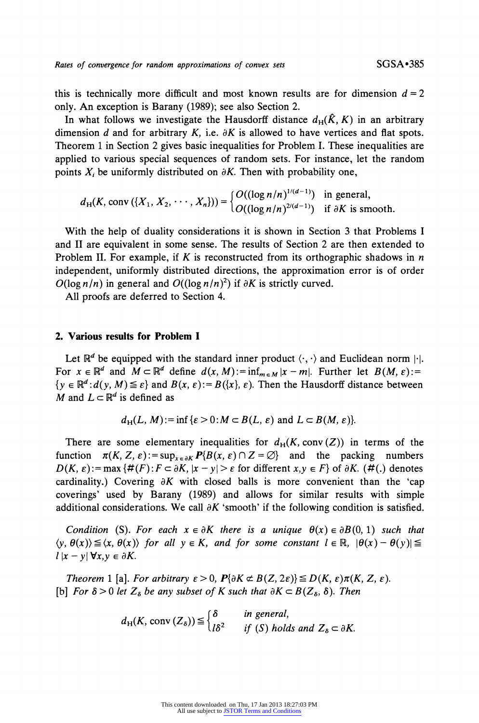this is technically more difficult and most known results are for dimension  $d = 2$ **only. An exception is Barany (1989); see also Section 2.** 

In what follows we investigate the Hausdorff distance  $d_H(\hat{K}, K)$  in an arbitrary dimension  $d$  and for arbitrary  $K$ , i.e.  $\partial K$  is allowed to have vertices and flat spots. **Theorem 1 in Section 2 gives basic inequalities for Problem I. These inequalities are applied to various special sequences of random sets. For instance, let the random**  points  $X_i$  be uniformly distributed on  $\partial K$ . Then with probability one,

$$
d_{\rm H}(K, \text{conv}(\{X_1, X_2, \cdots, X_n\})) = \begin{cases} O((\log n/n)^{1/(d-1)}) & \text{in general,} \\ O((\log n/n)^{2/(d-1)}) & \text{if } \partial K \text{ is smooth.} \end{cases}
$$

**With the help of duality considerations it is shown in Section 3 that Problems I and II are equivalent in some sense. The results of Section 2 are then extended to**  Problem II. For example, if  $K$  is reconstructed from its orthographic shadows in  $n$ **independent, uniformly distributed directions, the approximation error is of order**   $O(\log n/n)$  in general and  $O((\log n/n)^2)$  if  $\partial K$  is strictly curved.

**All proofs are deferred to Section 4.** 

## **2. Various results for Problem I**

Let  $\mathbb{R}^d$  be equipped with the standard inner product  $\langle \cdot, \cdot \rangle$  and Euclidean norm  $|\cdot|$ . For  $x \in \mathbb{R}^d$  and  $M \subset \mathbb{R}^d$  define  $d(x, M) := \inf_{m \in M} |x - m|$ . Further let  $B(M, \varepsilon) :=$  $\{y \in \mathbb{R}^d : d(y, M) \leq \varepsilon\}$  and  $B(x, \varepsilon) := B(\{x\}, \varepsilon)$ . Then the Hausdorff distance between *M* and  $L \subset \mathbb{R}^d$  is defined as

$$
d_H(L, M) := \inf \{ \varepsilon > 0 : M \subset B(L, \varepsilon) \text{ and } L \subset B(M, \varepsilon) \}.
$$

There are some elementary inequalities for  $d_H(K, conv(Z))$  in terms of the function  $\pi(K, Z, \varepsilon) := \sup_{x \in \partial K} P\{B(x, \varepsilon) \cap Z = \emptyset\}$  and the packing numbers  $D(K, \varepsilon) := \max \{ \#(F) : F \subset \partial K, |x - y| > \varepsilon \text{ for different } x, y \in F \}$  of  $\partial K$ . (#(.) denotes cardinality.) Covering  $\partial K$  with closed balls is more convenient than the 'cap **coverings' used by Barany (1989) and allows for similar results with simple**  additional considerations. We call  $\partial K$  'smooth' if the following condition is satisfied.

**Condition** (S). For each  $x \in \partial K$  there is a unique  $\theta(x) \in \partial B(0, 1)$  such that  $\langle y, \theta(x) \rangle \leq \langle x, \theta(x) \rangle$  for all  $y \in K$ , and for some constant  $l \in \mathbb{R}$ ,  $|\theta(x) - \theta(y)| \leq$  $\ell |x-y| \forall x, y \in \partial K$ .

**Theorem 1 [a].** For arbitrary  $\varepsilon > 0$ ,  $P\{\partial K \not\subset B(Z, 2\varepsilon)\}\leq D(K, \varepsilon)\pi(K, Z, \varepsilon)$ . [b] For  $\delta > 0$  let  $Z_{\delta}$  be any subset of K such that  $\partial K \subset B(Z_{\delta}, \delta)$ . Then

 $d_H(K, \text{conv } (\mathbb{Z}_\delta)) \leq \begin{cases} \delta & \text{in general,} \\ 182 & \text{if } (6) \leq h \leq 1 \end{cases}$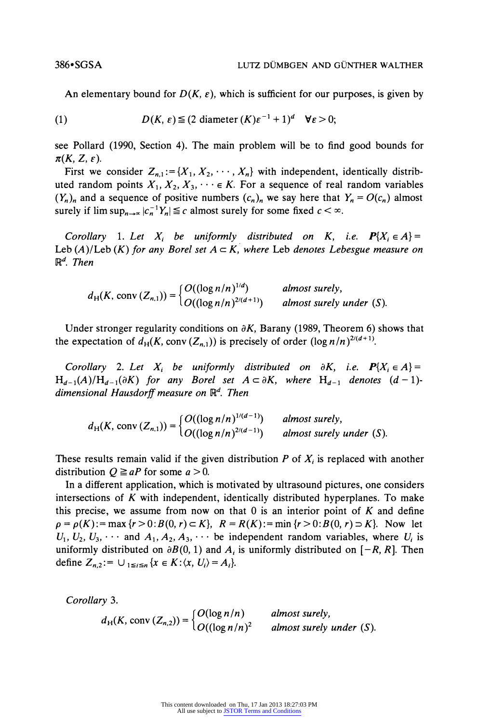An elementary bound for  $D(K, \varepsilon)$ , which is sufficient for our purposes, is given by

(1) 
$$
D(K, \varepsilon) \leq (2 \text{ diameter } (K)\varepsilon^{-1} + 1)^d \quad \forall \varepsilon > 0;
$$

**see Pollard (1990, Section 4). The main problem will be to find good bounds for**   $\pi(K, Z, \varepsilon)$ .

First we consider  $Z_{n,1} := \{X_1, X_2, \cdots, X_n\}$  with independent, identically distributed random points  $X_1, X_2, X_3, \dots \in K$ . For a sequence of real random variables  $(Y_n)_n$  and a sequence of positive numbers  $(c_n)_n$  we say here that  $Y_n = O(c_n)$  almost surely if  $\limsup_{n\to\infty} |c_n^{-1}Y_n| \leq c$  almost surely for some fixed  $c < \infty$ .

Corollary 1. Let  $X_i$  be uniformly distributed on K, i.e.  $P\{X_i \in A\}$  = Leb  $(A)/$ Leb  $(K)$  for any Borel set  $A \subset K$ , where Leb denotes Lebesgue measure on **Rd. Then** 

 $\int$   $O((\log n/n)^{1/d})$  *almost surely,*  $\Omega_{\mathbf{H}}(X, Y)$  **conv**  $\Omega_{\mathbf{H}}(X)$  **conv c**  $\Omega_{\mathbf{H}}(X)$  *converts almost surely under (S).* 

Under stronger regularity conditions on  $\partial K$ , Barany (1989, Theorem 6) shows that the expectation of  $d_H(K, \text{conv}(\mathbb{Z}_{n,1}))$  is precisely of order  $(\log n/n)^{2/(d+1)}$ .

Corollary 2. Let  $X_i$  be uniformly distributed on  $\partial K$ , i.e.  $P\{X_i \in A\}$  =  $H_{d-1}(A)/H_{d-1}(\partial K)$  for any Borel set  $A \subset \partial K$ , where  $H_{d-1}$  denotes  $(d-1)$ **dimensional Hausdorff measure on Rd. Then** 

 $\left[ O((\log n/n)^{1/(d-1)}) \right]$  almost surely,  $H(K, \text{conv}\left( Z_{n,1} \right)) = \left\{ \bigcap_{n=1}^{\infty} (1 \log n/n)^{2/(d-1)} \right\}$  almost surely under (S).

These results remain valid if the given distribution  $P$  of  $X_i$  is replaced with another distribution  $Q \ge aP$  for some  $a > 0$ .

In a different application, which is motivated by ultrasound pictures, one considers **intersections of K with independent, identically distributed hyperplanes. To make this precise, we assume from now on that O is an interior point of K and define**   $p = p(K) := \max \{r > 0: B(0, r) \subset K\}, R = R(K) := \min \{r > 0: B(0, r) \supset K\}.$  Now let  $U_1, U_2, U_3, \cdots$  and  $A_1, A_2, A_3, \cdots$  be independent random variables, where  $U_i$  is uniformly distributed on  $\partial B(0, 1)$  and  $A_i$  is uniformly distributed on  $[-R, R]$ . Then define  $Z_{n,2} := \bigcup_{1 \le i \le n} \{x \in K : \langle x, U_i \rangle = A_i\}.$ 

**COrOIIarY 3. H(***C*),  $d_H(K, \text{conv } (Z_{n,2})) = \begin{cases} O(\log n/n) & \text{almost surely,} \\ O((\log n/n)^2 & \text{almost surely under (S).} \end{cases}$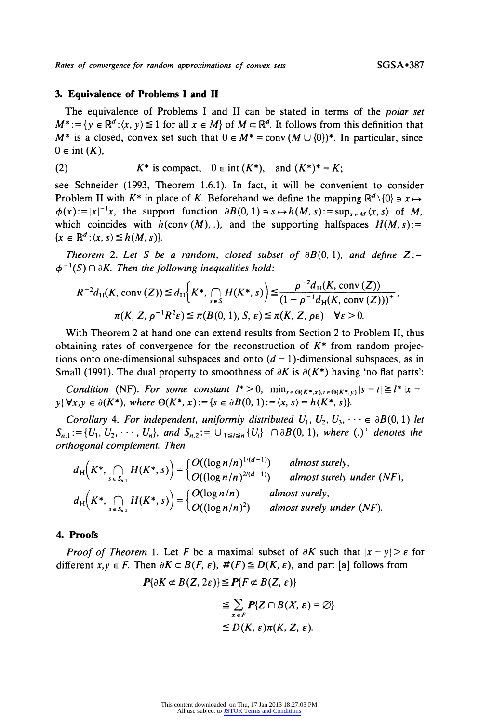**Rates of convergence for random approximations of convex sets <b>SGSA** 387

## **3. Equivalence of Problems I and <sup>n</sup>**

**The equivalence of Problems I and II can be stated in terms of the polar set**   $M^* := \{y \in \mathbb{R}^d : \langle x, y \rangle \leq 1 \text{ for all } x \in M\}$  of  $M \subset \mathbb{R}^d$ . It follows from this definition that  $M^*$  is a closed, convex set such that  $0 \in M^* = \text{conv } (M \cup \{0\})^*$ . In particular, since  $0 \in \text{int}(K)$ ,

(2) 
$$
K^*
$$
 is compact,  $0 \in \text{int } (K^*)$ , and  $(K^*)^* = K$ ;

**see Schneider (1993, Theorem 1.6.1). In fact, it will be convenient to consider Problem II with**  $K^*$  **in place of K. Beforehand we define the mapping**  $\mathbb{R}^d \setminus \{0\} \ni x \mapsto$  $\phi(x) := |x|^{-1}x$ , the support function  $\partial B(0, 1) = s \mapsto h(M, s) := \sup_{x \in M} \langle x, s \rangle$  of M, which coincides with  $h(\text{conv } (M), .)$ , and the supporting halfspaces  $H(M, s)$ :=  $\{x \in \mathbb{R}^d : \langle x, s \rangle \leq h(M, s)\}.$ 

**Theorem 2. Let S be a random, closed subset of**  $\partial B(0, 1)$ **, and define Z:=**  $\phi^{-1}(S) \cap \partial K$ . Then the following inequalities hold:

$$
R^{-2}d_{\mathrm{H}}(K, \mathrm{conv}\,(Z)) \le d_{\mathrm{H}}\bigg\{K^*, \bigcap_{s \in S} H(K^*, s)\bigg\} \le \frac{\rho^{-2}d_{\mathrm{H}}(K, \mathrm{conv}\,(Z))}{(1 - \rho^{-1}d_{\mathrm{H}}(K, \mathrm{conv}\,(Z)))^+},
$$

$$
\pi(K, Z, \rho^{-1}R^2\varepsilon) \le \pi(B(0, 1), S, \varepsilon) \le \pi(K, Z, \rho\varepsilon) \quad \forall \varepsilon > 0.
$$

**With Theorem 2 at hand one can extend results from Section 2 to Problem II, thus obtaining rates of convergence for the reconstruction of K\* from random projec**tions onto one-dimensional subspaces and onto  $(d-1)$ -dimensional subspaces, as in Small (1991). The dual property to smoothness of  $\partial K$  is  $\partial (K^*)$  having 'no flat parts':

**Condition** (NF). For some constant  $l^* > 0$ ,  $\min_{s \in \Theta(K^*,x), l \in \Theta(K^*,y)} |s - t| \geq l^* |x - t|$  $y | \forall x, y \in \partial(K^*)$ , where  $\Theta(K^*, x) := \{s \in \partial B(0, 1) : \exists \langle x, s \rangle = h(K^*, s)\}.$ 

Corollary 4. For independent, uniformly distributed  $U_1, U_2, U_3, \cdots \in \partial B(0, 1)$  let  $S_{n,1} := \{U_1, U_2, \cdots, U_n\}$ , and  $S_{n,2} := \bigcup_{1 \le i \le n} \{U_i\}^{\perp} \cap \partial B(0, 1)$ , where  $(.)^{\perp}$  denotes the **orthogonal complement. Then** 

$$
d_{\mathrm{H}}\left(K^*, \bigcap_{s \in S_{n,1}} H(K^*, s)\right) = \begin{cases} O((\log n/n)^{1/(d-1)}) & \text{almost surely,} \\ O((\log n/n)^{2/(d-1)}) & \text{almost surely under } (NF) \end{cases}
$$
  

$$
d_{\mathrm{H}}\left(K^*, \bigcap_{s \in S_{n,2}} H(K^*, s)\right) = \begin{cases} O(\log n/n) & \text{almost surely,} \\ O((\log n/n)^2) & \text{almost surely under } (NF). \end{cases}
$$

#### **4. Proofs**

**Proof of Theorem 1.** Let F be a maximal subset of  $\partial K$  such that  $|x - y| > \varepsilon$  for **different**  $x, y \in F$ . Then  $\partial K \subset B(F, \varepsilon)$ ,  $\#(F) \leq D(K, \varepsilon)$ , and part [a] follows from

$$
P\{\partial K \not\subset B(Z, 2\varepsilon)\} \le P\{F \not\subset B(Z, \varepsilon)\}
$$
  
\n
$$
\le \sum_{x \in F} P\{Z \cap B(X, \varepsilon) = \emptyset\}
$$
  
\n
$$
\le D(K, \varepsilon) \pi(K, Z, \varepsilon).
$$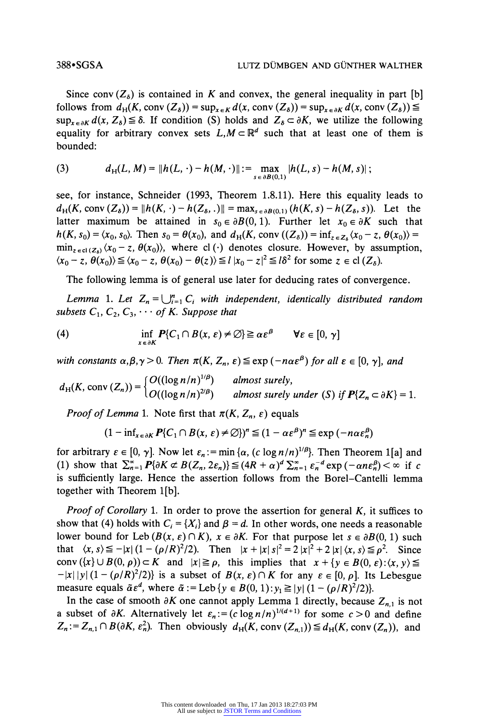Since conv  $(Z_6)$  is contained in K and convex, the general inequality in part [b] **follows from**  $d_H(K, \text{conv } (\mathbb{Z}_{\delta})) = \sup_{x \in K} d(x, \text{conv } (\mathbb{Z}_{\delta})) = \sup_{x \in \partial K} d(x, \text{conv } (\mathbb{Z}_{\delta})) \le$  $\sup_{x \in \partial K} d(x, Z_{\delta}) \leq \delta$ . If condition (S) holds and  $Z_{\delta} \subset \partial K$ , we utilize the following **equality for arbitrary convex sets**  $L, M \subset \mathbb{R}^d$  **such that at least one of them is bounded:** 

(3) 
$$
d_{H}(L, M) = ||h(L, \cdot) - h(M, \cdot)|| := \max_{s \in \partial B(0,1)} |h(L, s) - h(M, s)|;
$$

**see, for instance, Schneider (1993, Theorem 1.8.11). Here this equality leads to**   $d_H(K, \text{conv } (\mathbb{Z}_{\delta})) = ||h(K, \cdot) - h(\mathbb{Z}_{\delta}, \cdot)|| = \max_{s \in \partial B(0,1)} (h(K, s) - h(\mathbb{Z}_{\delta}, s)).$  Let the latter maximum be attained in  $s_0 \in \partial B(0, 1)$ . Further let  $x_0 \in \partial K$  such that  $h(K, s_0) = \langle x_0, s_0 \rangle$ . Then  $s_0 = \theta(x_0)$ , and  $d_H(K, \text{conv } ((Z_{\delta})) = \inf_{z \in Z_{\delta}} \langle x_0 - z, \theta(x_0) \rangle =$  $\min_{z \in cl(Z_\delta)} \langle x_0 - z, \theta(x_0) \rangle$ , where cl(·) denotes closure. However, by assumption,  $\langle x_0 - z, \theta(x_0) \rangle \leq \langle x_0 - z, \theta(x_0) - \theta(z) \rangle \leq l |x_0 - z|^2 \leq l \delta^2$  for some  $z \in cl(Z_{\delta})$ .

**The following lemma is of general use later for deducing rates of convergence.** 

Lemma 1. Let  $Z_n = \bigcup_{i=1}^n C_i$  with independent, identically distributed random **subsets**  $C_1$ ,  $C_2$ ,  $C_3$ ,  $\cdots$  of K. Suppose that

(4) 
$$
\inf_{x \in \partial K} P\{C_1 \cap B(x, \varepsilon) \neq \emptyset\} \geq \alpha \varepsilon^{\beta} \qquad \forall \varepsilon \in [0, \gamma]
$$

*with constants* $\alpha, \beta, \gamma > 0$ **. Then**  $\pi(K, Z_n, \varepsilon) \leq \exp(-n\alpha \varepsilon^{\beta})$  **for all**  $\varepsilon \in [0, \gamma]$ **, and** 

$$
d_H(K, conv(Z_n)) = \begin{cases} O((\log n/n)^{1/\beta}) & \text{almost surely,} \\ O((\log n/n)^{2/\beta}) & \text{almost surely under (S) if } P\{Z_n \subset \partial K\} = 1. \end{cases}
$$

**Proof of Lemma 1.** Note first that  $\pi(K, Z_n, \varepsilon)$  equals

$$
(1 - \inf_{x \in \partial K} P\{C_1 \cap B(x, \varepsilon) \neq \emptyset\})^n \leq (1 - \alpha \varepsilon^{\beta})^n \leq \exp(-n \alpha \varepsilon_n^{\beta})
$$

for arbitrary  $\varepsilon \in [0, \gamma]$ . Now let  $\varepsilon_n := \min{\{\alpha, (c \log n/n)^{1/\beta}\}}$ . Then Theorem 1[a] and (1) show that  $\sum_{n=1}^{\infty} P\{\partial K \not\subset B(Z_n, 2\varepsilon_n)\}\leq (4R + \alpha)^d \sum_{n=1}^{\infty} \varepsilon_n^{-d} \exp(-\alpha n \varepsilon_n^{\beta}) < \infty$  if c **is sufficiently large. Hence the assertion follows from the Borel-Cantelli lemma together with Theorem l[b].** 

**Proof of Corollary 1. In order to prove the assertion for general K, it suffices to**  show that (4) holds with  $C_i = \{X_i\}$  and  $\beta = d$ . In other words, one needs a reasonable **lower bound for Leb**  $(B(x, \varepsilon) \cap K)$ ,  $x \in \partial K$ . For that purpose let  $s \in \partial B(0, 1)$  such that  $\langle x, s \rangle \le -|x| (1 - (\rho/R)^2/2)$ . Then  $|x + |x| |s|^2 = 2 |x|^2 + 2 |x| \langle x, s \rangle \le \rho^2$ . Since **conv**  $({x} \cup B(0, \rho)) \subset K$  and  $|x| \ge \rho$ , this implies that  $x + {y \in B(0, \varepsilon)}$ :  $\langle x, y \rangle \le$  $-|x||y|$   $(1-(\rho/R)^2/2)$  is a subset of  $B(x, \varepsilon) \cap K$  for any  $\varepsilon \in [0, \rho]$ . Its Lebesgue **measure equals**  $\tilde{\alpha} \varepsilon^d$ **, where**  $\tilde{\alpha} := \text{Leb} \{ y \in B(0, 1) : y_1 \geq |y| (1 - (\rho/R)^2/2) \}.$ 

In the case of smooth  $\partial K$  one cannot apply Lemma 1 directly, because  $Z_{n,1}$  is not **a** subset of  $\partial K$ . Alternatively let  $\varepsilon_n := (c \log n/n)^{1/(d+1)}$  for some  $c > 0$  and define  $Z_n := Z_{n,1} \cap B(\partial K, \varepsilon_n^2)$ . Then obviously  $d_H(K, \text{conv } (Z_{n,1})) \le d_H(K, \text{conv } (Z_n))$ , and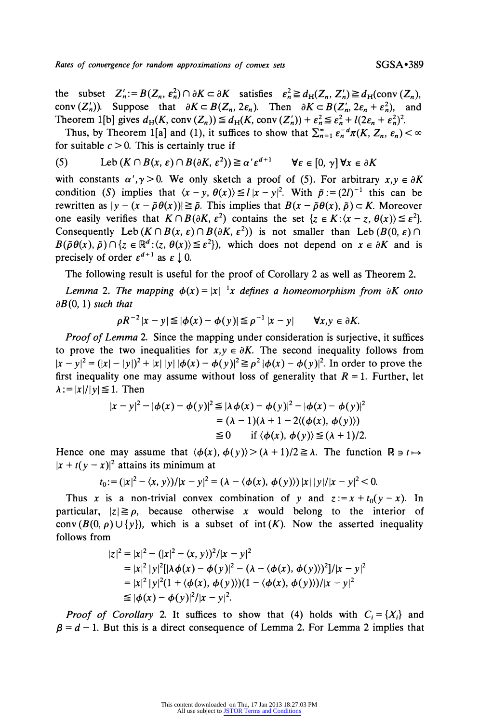the subset  $Z'_n := B(Z_n, \varepsilon_n^2) \cap \partial K \subset \partial K$  satisfies  $\varepsilon_n^2 \ge d_H(Z_n, Z'_n) \ge d_H(\text{conv } (Z_n))$ **conv**  $(Z'_n)$ ). Suppose that  $\partial K \subset B(Z_n, 2\varepsilon_n)$ . Then  $\partial K \subset B(Z'_n, 2\varepsilon_n + \varepsilon_n^2)$ , and **Theorem 1**[b] gives  $d_H(K, \text{conv } (\mathbb{Z}_n)) \leq d_H(K, \text{conv } (\mathbb{Z}_n')) + \varepsilon_n^2 \leq \varepsilon_n^2 + l(2\varepsilon_n + \varepsilon_n^2)^2$ .

Thus, by Theorem 1[a] and (1), it suffices to show that  $\sum_{n=1}^{\infty} \varepsilon_n^{-d} \pi(K, Z_n, \varepsilon_n) < \infty$ for suitable  $c > 0$ . This is certainly true if

(5) 
$$
\text{Leb}(K \cap B(x,\varepsilon) \cap B(\partial K,\varepsilon^2)) \geq \alpha' \varepsilon^{d+1} \qquad \forall \varepsilon \in [0,\gamma] \forall x \in \partial K
$$

with constants  $\alpha', \gamma > 0$ . We only sketch a proof of (5). For arbitrary  $x, y \in \partial K$ condition (S) implies that  $\langle x - y, \theta(x) \rangle \leq l |x - y|^2$ . With  $\tilde{p} := (2l)^{-1}$  this can be **rewritten as**  $|y - (x - \tilde{\rho}\theta(x))| \ge \tilde{\rho}$ **. This implies that**  $B(x - \tilde{\rho}\theta(x), \tilde{\rho}) \subset K$ **. Moreover** one easily verifies that  $K \cap B(\partial K, \varepsilon^2)$  contains the set  $\{z \in K : (x-z, \theta(x)) \leq \varepsilon^2\}$ . Consequently Leb  $(K \cap B(x, \varepsilon) \cap B(\partial K, \varepsilon^2))$  is not smaller than Leb  $(B(0, \varepsilon) \cap B(\partial K, \varepsilon^2))$  $B(\tilde{\rho}\theta(x), \tilde{\rho}) \cap \{z \in \mathbb{R}^d : \langle z, \theta(x) \rangle \leq \varepsilon^2\}$ , which does not depend on  $x \in \partial K$  and is **precisely of order**  $\varepsilon^{d+1}$  **as**  $\varepsilon \downarrow 0$ **.** 

**The following result is useful for the proof of Corollary 2 as well as Theorem 2.** 

Lemma 2. The mapping  $\phi(x) = |x|^{-1}x$  defines a homeomorphism from  $\partial K$  onto  $\partial B(0, 1)$  such that

$$
\rho R^{-2} |x - y| \leq |\phi(x) - \phi(y)| \leq \rho^{-1} |x - y| \qquad \forall x, y \in \partial K.
$$

**Proof of Lemma 2. Since the mapping under consideration is surjective, it suffices**  to prove the two inequalities for  $x, y \in \partial K$ . The second inequality follows from  $|x - y|^2 = (|x| - |y|)^2 + |x||y||\phi(x) - \phi(y)|^2 \ge \rho^2 |\phi(x) - \phi(y)|^2$ . In order to prove the first inequality one may assume without loss of generality that  $R = 1$ . Further, let  $\lambda := |x|/|y| \leq 1$ . Then

$$
|x - y|^2 - |\phi(x) - \phi(y)|^2 \le |\lambda \phi(x) - \phi(y)|^2 - |\phi(x) - \phi(y)|^2
$$
  
= (\lambda - 1)(\lambda + 1 - 2\langle(\phi(x), \phi(y))\rangle)  

$$
\le 0 \quad \text{if } \langle \phi(x), \phi(y) \rangle \le (\lambda + 1)/2.
$$

Hence one may assume that  $\langle \phi(x), \phi(y) \rangle > (\lambda + 1)/2 \ge \lambda$ . The function  $\mathbb{R} \ni t \mapsto$  $|x + t(y - x)|^2$  attains its minimum at

$$
t_0:=(|x|^2-\langle x, y \rangle)/|x-y|^2=(\lambda-\langle \phi(x), \phi(y) \rangle)|x||y|/|x-y|^2<0.
$$

Thus x is a non-trivial convex combination of y and  $z := x + t_0(y - x)$ . In **particular,**  $|z| \geq \rho$ , because otherwise x would belong to the interior of conv  $(B(0, \rho) \cup \{y\})$ , which is a subset of int  $(K)$ . Now the asserted inequality **follows from** 

$$
|z|^2 = |x|^2 - (|x|^2 - \langle x, y \rangle)^2 / |x - y|^2
$$
  
=  $|x|^2 |y|^2 [|\lambda \phi(x) - \phi(y)|^2 - (\lambda - \langle \phi(x), \phi(y) \rangle)^2] / |x - y|^2$   
=  $|x|^2 |y|^2 (1 + \langle \phi(x), \phi(y) \rangle) (1 - \langle \phi(x), \phi(y) \rangle) / |x - y|^2$   
 $\leq |\phi(x) - \phi(y)|^2 / |x - y|^2.$ 

**Proof of Corollary 2. It suffices to show that (4) holds with**  $C_i = \{X_i\}$  **and**  $\beta = d - 1$ . But this is a direct consequence of Lemma 2. For Lemma 2 implies that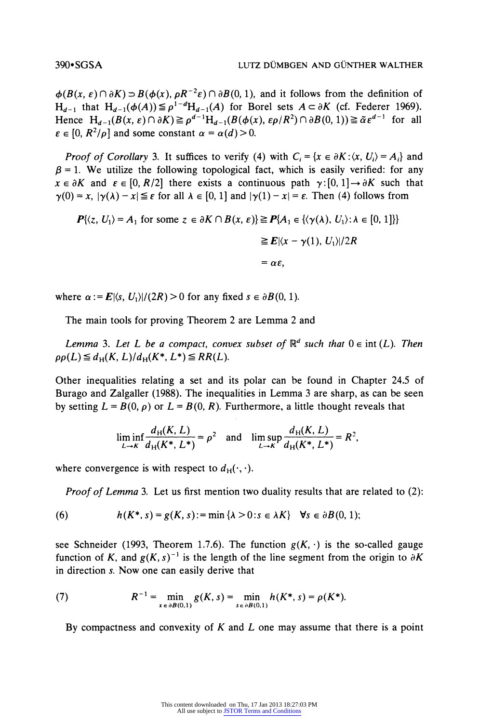$\phi(B(x, \varepsilon) \cap \partial K)$   $\supset B(\phi(x), \rho R^{-2}\varepsilon) \cap \partial B(0, 1)$ , and it follows from the definition of  $H_{d-1}$  that  $H_{d-1}(\phi(A)) \leq \rho^{1-d}H_{d-1}(A)$  for Borel sets  $A \subset \partial K$  (cf. Federer 1969). Hence  $H_{d-1}(B(x, \varepsilon) \cap \partial K) \ge \rho^{d-1} H_{d-1}(B(\phi(x), \varepsilon \rho/R^2) \cap \partial B(0, 1)) \ge \tilde{\alpha} \varepsilon^{d-1}$  for all  $\varepsilon \in [0, R^2/\rho]$  and some constant  $\alpha = \alpha(d) > 0$ .

**Proof of Corollary 3.** It suffices to verify (4) with  $C_i = \{x \in \partial K : \langle x, U_i \rangle = A_i\}$  and  $\beta$  = 1. We utilize the following topological fact, which is easily verified: for any  $x \in \partial K$  and  $\varepsilon \in [0, R/2]$  there exists a continuous path  $\gamma: [0, 1] \rightarrow \partial K$  such that  $\gamma(0) = x$ ,  $|\gamma(\lambda) - x| \leq \varepsilon$  for all  $\lambda \in [0, 1]$  and  $|\gamma(1) - x| = \varepsilon$ . Then (4) follows from

$$
\mathbf{P}\{\langle z, U_1 \rangle = A_1 \text{ for some } z \in \partial K \cap B(x, \varepsilon) \} \ge \mathbf{P}\{A_1 \in \{\langle \gamma(\lambda), U_1 \rangle : \lambda \in [0, 1] \} \}
$$

$$
\ge \mathbf{E}|\langle x - \gamma(1), U_1 \rangle|/2R
$$

$$
= \alpha \varepsilon,
$$

where  $\alpha := E\langle s, U_1 \rangle / (2R) > 0$  for any fixed  $s \in \partial B(0, 1)$ .

**The main tools for proving Theorem 2 are Lemma 2 and** 

**Lemma 3. Let L be a compact, convex subset of**  $\mathbb{R}^d$  **such that**  $0 \in \text{int}(L)$ **. Then**  $p\rho(L) \leq d_H(K, L)/d_H(K^*, L^*) \leq RR(L).$ 

**Other inequalities relating a set and its polar can be found in Chapter 24.5 of Burago and Zalgaller (1988). The inequalities in Lemma 3 are sharp, as can be seen**  by setting  $L = B(0, \rho)$  or  $L = B(0, R)$ . Furthermore, a little thought reveals that

$$
\liminf_{L \to K} \frac{d_H(K, L)}{d_H(K^*, L^*)} = \rho^2 \quad \text{and} \quad \limsup_{L \to K} \frac{d_H(K, L)}{d_H(K^*, L^*)} = R^2,
$$

where convergence is with respect to  $d_H(\cdot, \cdot)$ .

**Proof of Lemma 3. Let us first mention two duality results that are related to (2):** 

(6) 
$$
h(K^*, s) = g(K, s) := \min \{ \lambda > 0 : s \in \lambda K \} \quad \forall s \in \partial B(0, 1);
$$

see Schneider (1993, Theorem 1.7.6). The function  $g(K, \cdot)$  is the so-called gauge function of K, and  $g(K, s)^{-1}$  is the length of the line segment from the origin to  $\partial K$ **in direction s. Now one can easily derive that** 

(7) 
$$
R^{-1} = \min_{x \in \partial B(0,1)} g(K,s) = \min_{s \in \partial B(0,1)} h(K^*,s) = \rho(K^*).
$$

**By compactness and convexity of K and L one may assume that there is a point**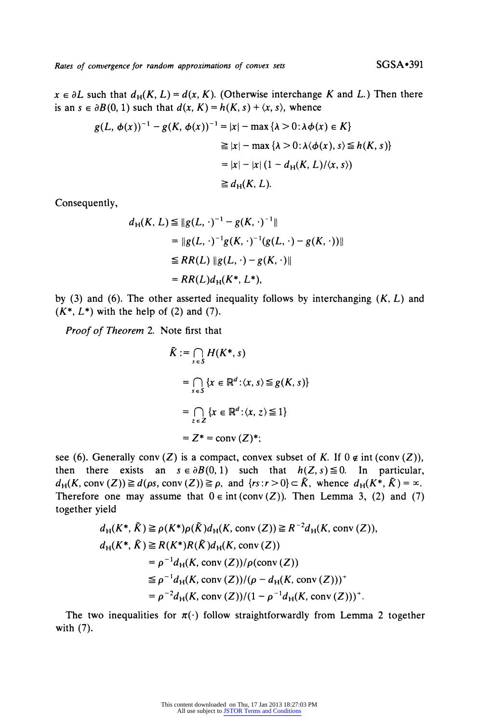$x \in \partial L$  such that  $d_H(K, L) = d(x, K)$ . (Otherwise interchange K and L.) Then there is an  $s \in \partial B(0, 1)$  such that  $d(x, K) = h(K, s) + \langle x, s \rangle$ , whence

$$
g(L, \phi(x))^{-1} - g(K, \phi(x))^{-1} = |x| - \max \{ \lambda > 0 : \lambda \phi(x) \in K \}
$$
  
\n
$$
\ge |x| - \max \{ \lambda > 0 : \lambda \phi(x), s \ge h(K, s) \}
$$
  
\n
$$
= |x| - |x| (1 - d_H(K, L) / \langle x, s \rangle)
$$
  
\n
$$
\ge d_H(K, L).
$$

**Consequently,** 

$$
d_{\mathrm{H}}(K, L) \leq \|g(L, \cdot)^{-1} - g(K, \cdot)^{-1}\|
$$
  
= \|g(L, \cdot)^{-1}g(K, \cdot)^{-1}(g(L, \cdot) - g(K, \cdot))\|  

$$
\leq RR(L) \|g(L, \cdot) - g(K, \cdot)\|
$$
  
= RR(L)d\_{\mathrm{H}}(K^\*, L^\*),

by (3) and (6). The other asserted inequality follows by interchanging  $(K, L)$  and  $(K^*, L^*)$  with the help of (2) and (7).

**Proof of Theorem 2. Note first that** 

$$
\tilde{K} := \bigcap_{s \in S} H(K^*, s)
$$
\n
$$
= \bigcap_{s \in S} \{x \in \mathbb{R}^d : \langle x, s \rangle \le g(K, s) \}
$$
\n
$$
= \bigcap_{z \in Z} \{x \in \mathbb{R}^d : \langle x, z \rangle \le 1 \}
$$
\n
$$
= Z^* = \text{conv}(Z)^*,
$$

see (6). Generally conv (Z) is a compact, convex subset of K. If  $0 \notin \text{int}(\text{conv}(Z))$ , then there exists an  $s \in \partial B(0, 1)$  such that  $h(Z, s) \leq 0$ . In particular,  $d_H(K, \text{conv } (Z)) \ge d(\rho s, \text{conv } (Z)) \ge \rho$ , and  $\{rs : r > 0\} \subset \tilde{K}$ , whence  $d_H(K^*, \tilde{K}) = \infty$ . Therefore one may assume that  $0 \in \text{int}(\text{conv}(Z))$ . Then Lemma 3, (2) and (7) **together yield** 

$$
d_{\rm H}(K^*, \tilde{K}) \ge \rho(K^*) \rho(\tilde{K}) d_{\rm H}(K, \text{ conv } (Z)) \ge R^{-2} d_{\rm H}(K, \text{ conv } (Z)),
$$
  
\n
$$
d_{\rm H}(K^*, \tilde{K}) \ge R(K^*) R(\tilde{K}) d_{\rm H}(K, \text{ conv } (Z))
$$
  
\n
$$
= \rho^{-1} d_{\rm H}(K, \text{ conv } (Z)) / \rho(\text{conv } (Z))
$$
  
\n
$$
\le \rho^{-1} d_{\rm H}(K, \text{ conv } (Z)) / (\rho - d_{\rm H}(K, \text{ conv } (Z)))^+
$$
  
\n
$$
= \rho^{-2} d_{\rm H}(K, \text{ conv } (Z)) / (1 - \rho^{-1} d_{\rm H}(K, \text{ conv } (Z)))^+.
$$

The two inequalities for  $\pi(\cdot)$  follow straightforwardly from Lemma 2 together **with (7).**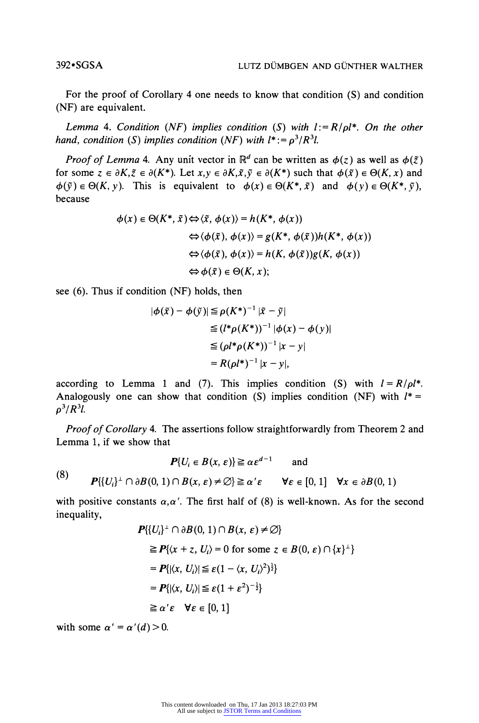**For the proof of Corollary 4 one needs to know that condition (S) and condition (NF) are equivalent.** 

Lemma 4. Condition  $(NF)$  implies condition  $(S)$  with  $l := R/pl^*$ . On the other hand, condition (S) implies condition (NF) with  $l^* := \rho^3/R^3l$ .

**Proof of Lemma 4.** Any unit vector in  $\mathbb{R}^d$  can be written as  $\phi(z)$  as well as  $\phi(\tilde{z})$ **for some**  $z \in \partial K$ **,**  $\tilde{z} \in \partial (K^*)$ **. Let**  $x, y \in \partial K$ **,**  $\tilde{x}, \tilde{y} \in \partial (K^*)$  **such that**  $\phi(\tilde{x}) \in \Theta(K, x)$  **and**  $\phi(\tilde{y}) \in \Theta(K, y)$ . This is equivalent to  $\phi(x) \in \Theta(K^*, \tilde{x})$  and  $\phi(y) \in \Theta(K^*, \tilde{y})$ , **because** 

$$
\phi(x) \in \Theta(K^*, \tilde{x}) \Leftrightarrow \langle \tilde{x}, \phi(x) \rangle = h(K^*, \phi(x))
$$
  

$$
\Leftrightarrow \langle \phi(\tilde{x}), \phi(x) \rangle = g(K^*, \phi(\tilde{x}))h(K^*, \phi(x))
$$
  

$$
\Leftrightarrow \langle \phi(\tilde{x}), \phi(x) \rangle = h(K, \phi(\tilde{x}))g(K, \phi(x))
$$
  

$$
\Leftrightarrow \phi(\tilde{x}) \in \Theta(K, x);
$$

**see (6). Thus if condition (NF) holds, then** 

$$
|\phi(\tilde{x}) - \phi(\tilde{y})| \leq \rho(K^*)^{-1} |\tilde{x} - \tilde{y}|
$$
  
\n
$$
\leq (l^* \rho(K^*))^{-1} |\phi(x) - \phi(y)|
$$
  
\n
$$
\leq (\rho l^* \rho(K^*))^{-1} |x - y|
$$
  
\n
$$
= R(\rho l^*)^{-1} |x - y|,
$$

according to Lemma 1 and (7). This implies condition (S) with  $I = R/\rho l^*$ . Analogously one can show that condition (S) implies condition (NF) with  $l^*$  =  $\rho^3/R^3l$ .

**Proof of Corollary 4. The assertions follow straightforwardly from Theorem 2 and Lemma 1, if we show that** 

$$
P\{U_i \in B(x, \varepsilon)\} \ge \alpha \varepsilon^{d-1} \quad \text{and}
$$
\n
$$
P\{U_i\}^\perp \cap \partial B(0, 1) \cap B(x, \varepsilon) \neq \emptyset\} \ge \alpha' \varepsilon \quad \forall \varepsilon \in [0, 1] \quad \forall x \in \partial B(0, 1)
$$

with positive constants  $\alpha, \alpha'$ . The first half of (8) is well-known. As for the second **inequality,** 

$$
P\{(U_i)^{\perp} \cap \partial B(0, 1) \cap B(x, \varepsilon) \neq \emptyset\}
$$
  
\n
$$
\geq P\{(x + z, U_i) = 0 \text{ for some } z \in B(0, \varepsilon) \cap \{x\}^{\perp}\}
$$
  
\n
$$
= P\{|\langle x, U_i \rangle| \leq \varepsilon (1 - \langle x, U_i \rangle^2)^{\frac{1}{2}}\}
$$
  
\n
$$
= P\{|\langle x, U_i \rangle| \leq \varepsilon (1 + \varepsilon^2)^{-\frac{1}{2}}\}
$$
  
\n
$$
\geq \alpha' \varepsilon \quad \forall \varepsilon \in [0, 1]
$$

with some  $\alpha' = \alpha'(d) > 0$ .